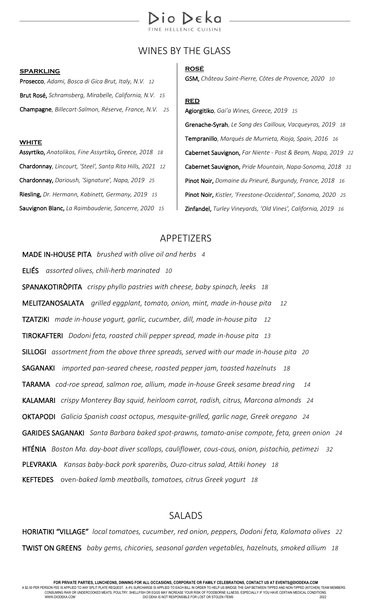# WINES BY THE GLASS

#### **SPARKLING**

Prosecco, *Adami, Bosca di Gica Brut, Italy, N.V. 12* Brut Rosé, *Schramsberg, Mirabelle, California, N.V. 15* Champagne, *Billecart-Salmon, Réserve, France, N.V. 25*

### **WHITE**

Assyrtiko, *Anatolikos, Fine Assyrtiko, Greece, 2018 18* Chardonnay, *Lincourt, 'Steel', Santa Rita Hills, 2021 12* Chardonnay, *Darioush, 'Signature', Napa, 2019 25* Riesling, *Dr. Hermann, Kabinett, Germany, 2019 15* Sauvignon Blanc, *La Raimbauderie, Sancerre, 2020 15*

### **ROSÉ**

GSM, *Château Saint-Pierre, Côtes de Provence, 2020 10*

## **RED**

Agiorgitiko, *Gai'a Wines, Greece, 2019 15*

Grenache-Syrah, *Le Sang des Cailloux, Vacqueyras, 2019 18* Tempranillo, *Marqués de Murrieta, Rioja, Spain, 2016 16* Cabernet Sauvignon, *Far Niente - Post & Beam, Napa, 2019 22* Cabernet Sauvignon, *Pride Mountain, Napa-Sonoma, 2018 31* Pinot Noir, *Domaine du Prieuré, Burgundy, France, 2018 16* Pinot Noir, *Kistler, 'Freestone-Occidental', Sonoma, 2020 25* Zinfandel, *Turley Vineyards, 'Old Vines', California, 2019 16*

## APPETIZERS

MADE IN-HOUSE PITA *brushed with olive oil and herbs 4* ELIÉS *assorted olives, chili-herb marinated 10* SPANAKOTIRÒPITA *crispy phyllo pastries with cheese, baby spinach, leeks 18* MELITZANOSALATA *grilled eggplant, tomato, onion, mint, made in-house pita 12* TZATZIKI *made in-house yogurt, garlic, cucumber, dill, made in-house pita 12* TIROKAFTERI *Dodoni feta, roasted chili pepper spread, made in-house pita 13* SILLOGI *assortment from the above three spreads, served with our made in-house pita 20* SAGANAKI *imported pan-seared cheese, roasted pepper jam, toasted hazelnuts 18* TARAMA *cod-roe spread, salmon roe, allium, made in-house Greek sesame bread ring 14* KALAMARI *crispy Monterey Bay squid, heirloom carrot, radish, citrus, Marcona almonds 24* OKTAPODI *Galicia Spanish coast octopus, mesquite-grilled, garlic nage, Greek oregano 24* GARIDES SAGANAKI *Santa Barbara baked spot-prawns, tomato-anise compote, feta, green onion 24* HTÉNIA *Boston Ma. day-boat diver scallops, cauliflower, cous-cous, onion, pistachio, petimezi 32* PLEVRAKIA *Kansas baby-back pork spareribs, Ouzo-citrus salad, Attiki honey 18* KEFTEDES oven-*baked lamb meatballs, tomatoes, citrus Greek yogurt 18*

## SALADS

HORIATIKI "VILLAGE" *local tomatoes, cucumber, red onion, peppers, Dodoni feta, Kalamata olives 22*  TWIST ON GREENS *baby gems, chicories, seasonal garden vegetables, hazelnuts, smoked allium 18*